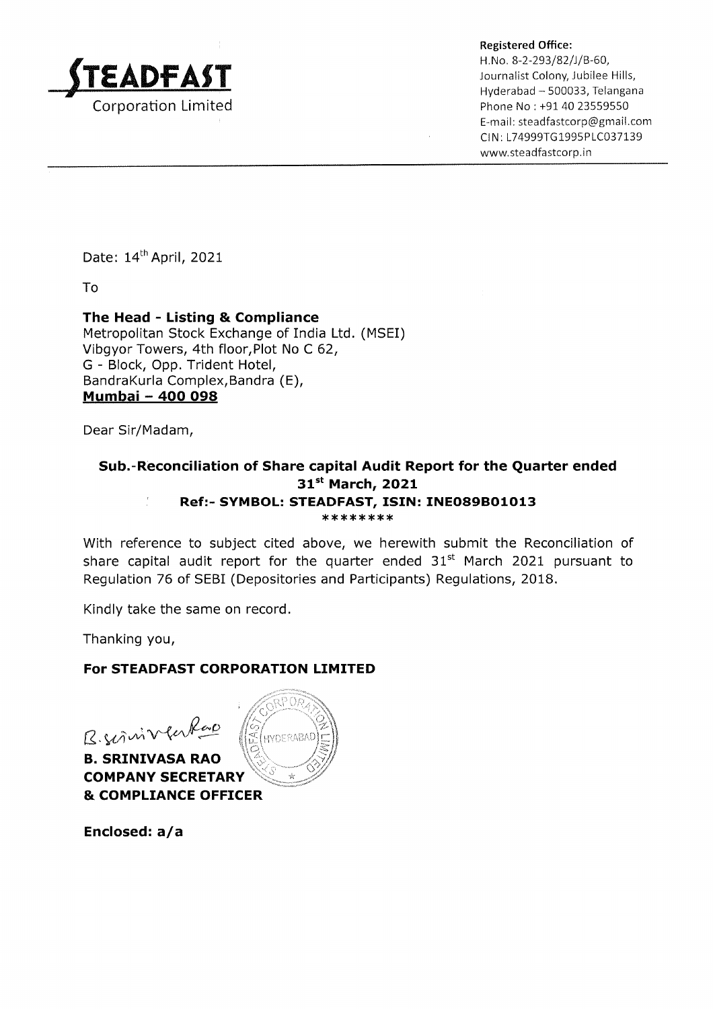

Registered Office:<br>H. No. 8-2-293/82/J/B-60,<br>Journalist Colony, Jubilee Hills,<br>Hyderabad – 500033, Telangana Phone No: +91 40 23559550 E-mail : steadfastcorp@gmail.com CIN: L74999TG1995PLC037139 www.steadfastcorp.in

Date: 14<sup>th</sup> April, 2021

To

#### The Head - Listing & Compliance Metropolitan Stock Exchange of India Ltd. (MSEI) Vibgyor Towers, 4th floor,Plot No C 62, G - Block, Opp. Trident Hotel, BandraKurla Complex,Bandra (E), Mumbai - 4OO O98

Dear Sir/Madam,

#### Sub.-Reconciliation of Share capital Audit Report for the Quarter ended<br> $31^{st}$  March, 2021  $\frac{1}{2}$ Ref:- SYMBOL: STEADFAST, ISIN: INEO89BO1O13 \* \* \*\*\*\* \*\*

With reference to subject cited above, we herewith submit the Reconciliation of share capital audit report for the quarter ended  $31<sup>st</sup>$  March 2021 pursuant to Regulation 76 of SEBI (Depositories and Participants) Regulations, 2018.

Kindly take the same on record.

Thanking you,

### For STEADFAST CORPORATION LIMITED

 $B.$ Suinve

B. SRINIVASA RAO COMPANY SECRETARY & COMPLIANCE OFFICER



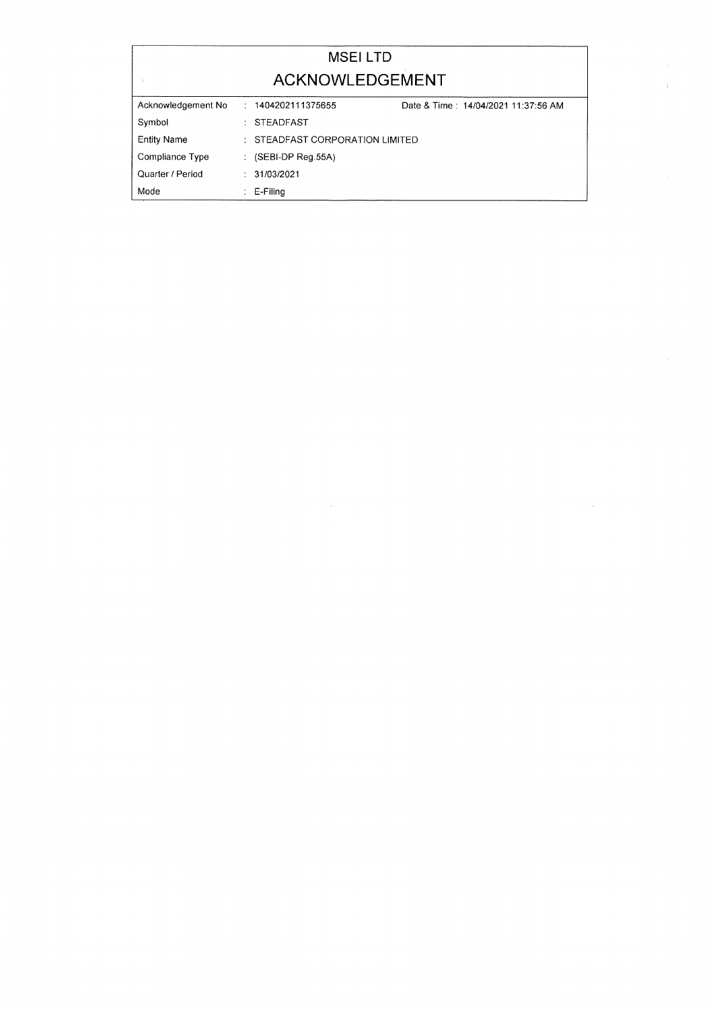|                    | <b>MSELLTD</b>                  |                                     |
|--------------------|---------------------------------|-------------------------------------|
|                    | ACKNOWLEDGEMENT                 |                                     |
| Acknowledgement No | : 1404202111375655              | Date & Time: 14/04/2021 11:37:56 AM |
| Symbol             | $\therefore$ STEADFAST          |                                     |
| <b>Entity Name</b> | : STEADFAST CORPORATION LIMITED |                                     |
| Compliance Type    | $\colon$ (SEBI-DP Reg.55A)      |                                     |
| Quarter / Period   | $\div$ 31/03/2021               |                                     |
| Mode               | E-Filing                        |                                     |

 $\label{eq:2.1} \frac{1}{\sqrt{2}}\int_{\mathbb{R}^3}\frac{1}{\sqrt{2}}\left(\frac{1}{\sqrt{2}}\right)^2\frac{1}{\sqrt{2}}\left(\frac{1}{\sqrt{2}}\right)^2\frac{1}{\sqrt{2}}\left(\frac{1}{\sqrt{2}}\right)^2\frac{1}{\sqrt{2}}\left(\frac{1}{\sqrt{2}}\right)^2.$ 

 $\hat{\mathcal{X}}$  $\frac{1}{2}$ 

 $\label{eq:1} \frac{1}{2} \sum_{i=1}^n \frac{1}{2} \sum_{j=1}^n \frac{1}{2} \sum_{j=1}^n \frac{1}{2} \sum_{j=1}^n \frac{1}{2} \sum_{j=1}^n \frac{1}{2} \sum_{j=1}^n \frac{1}{2} \sum_{j=1}^n \frac{1}{2} \sum_{j=1}^n \frac{1}{2} \sum_{j=1}^n \frac{1}{2} \sum_{j=1}^n \frac{1}{2} \sum_{j=1}^n \frac{1}{2} \sum_{j=1}^n \frac{1}{2} \sum_{j=1}^n \frac{1}{$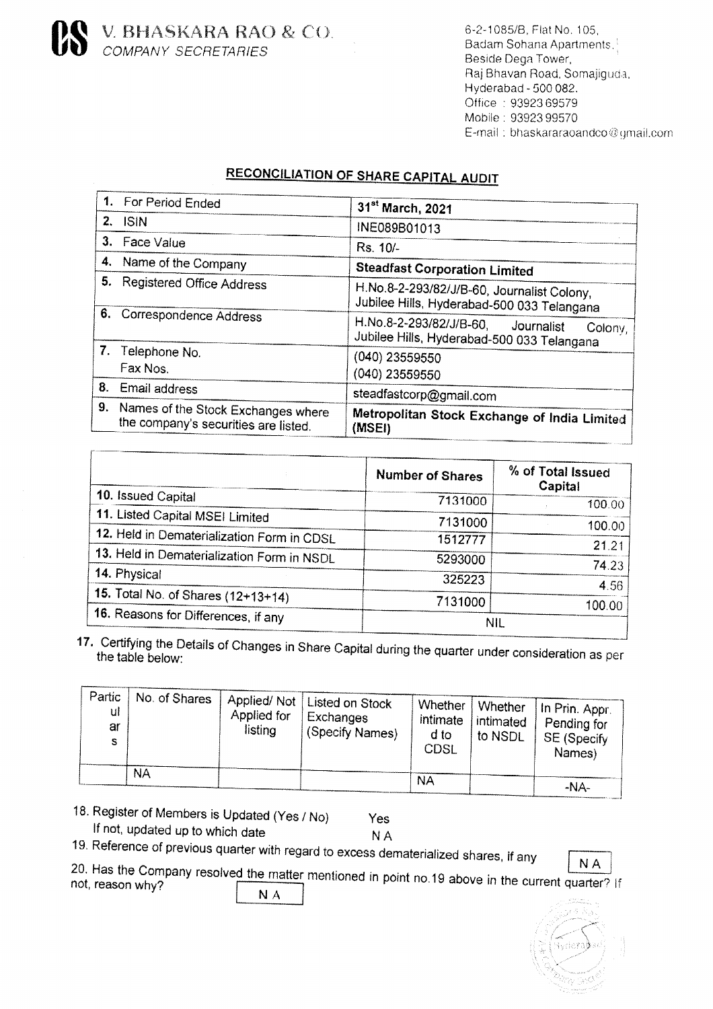V. BHASKARA RAO & CO.<br>COMPANY SECRETARIES

6-2-1085/B, Flat No. 105, Badam Sohana Apartments. Beside Dega Tower, Raj Bhavan Road, Somajiguda, Hyderabad - 500 082. Office: 93923 69579 Mobile: 93923 99570 E-mail: bhaskararaoandco@gmail.com

# **RECONCILIATION OF SHARE CAPITAL AUDIT**

|    | For Period Ended                                                              | 31 <sup>st</sup> March, 2021                                                                   |
|----|-------------------------------------------------------------------------------|------------------------------------------------------------------------------------------------|
| 2. | <b>ISIN</b>                                                                   | INE089B01013                                                                                   |
| З. | Face Value                                                                    | Rs. 10/-                                                                                       |
| 4. | Name of the Company                                                           | <b>Steadfast Corporation Limited</b>                                                           |
| 5. | <b>Registered Office Address</b>                                              | H.No.8-2-293/82/J/B-60, Journalist Colony,<br>Jubilee Hills, Hyderabad-500 033 Telangana       |
|    | 6. Correspondence Address                                                     | H.No.8-2-293/82/J/B-60,<br>Journalist<br>Colony,<br>Jubilee Hills, Hyderabad-500 033 Telangana |
|    | 7. Telephone No.<br>Fax Nos.                                                  | (040) 23559550<br>(040) 23559550                                                               |
|    | 8. Email address                                                              | steadfastcorp@gmail.com                                                                        |
|    | 9. Names of the Stock Exchanges where<br>the company's securities are listed. | Metropolitan Stock Exchange of India Limited<br>(MSEI)                                         |
|    |                                                                               |                                                                                                |

|                                            | <b>Number of Shares</b> | % of Total Issued<br>Capital |
|--------------------------------------------|-------------------------|------------------------------|
| 10. Issued Capital                         | 7131000                 | 100.00                       |
| 11. Listed Capital MSEI Limited            | 7131000                 | 100.00                       |
| 12. Held in Dematerialization Form in CDSL | 1512777                 | 21.21                        |
| 13. Held in Dematerialization Form in NSDL | 5293000                 | 74.23                        |
| 14. Physical                               | 325223                  |                              |
| 15. Total No. of Shares (12+13+14)         | 7131000                 | 4.56<br>100.00               |
| 16. Reasons for Differences, if any        | <b>NIL</b>              |                              |

17. Certifying the Details of Changes in Share Capital during the quarter under consideration as per the table below:

| Partic<br>ul<br>ar<br>s | No. of Shares<br>ΝA | Applied/Not <sup>1</sup><br>Applied for<br>listing | . Listed on Stock<br><b>Exchanges</b><br>(Specify Names) | Whether<br>intimate<br>d to<br>CDSL | Whether<br>intimated<br>to NSDL | iln Prin. Appr.<br>Pending for<br>SE (Specify<br>Names) |
|-------------------------|---------------------|----------------------------------------------------|----------------------------------------------------------|-------------------------------------|---------------------------------|---------------------------------------------------------|
|                         |                     |                                                    |                                                          | <b>NA</b>                           |                                 | -NA-                                                    |

18. Register of Members is Updated (Yes / No) If not, updated up to which date

Yes **NA** 

19. Reference of previous quarter with regard to excess dematerialized shares, if any

**NA** 

20. Has the Company resolved the matter mentioned in point no.19 above in the current quarter? If  $N A$